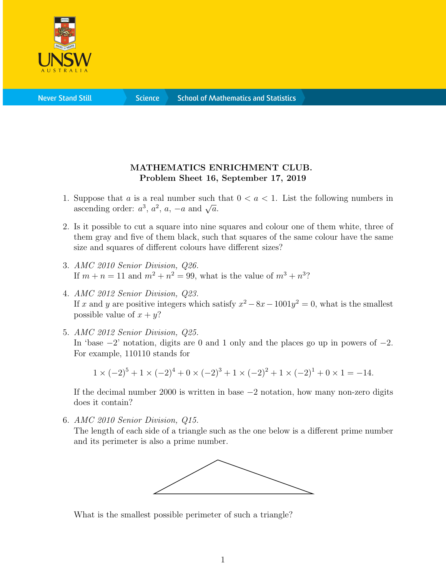

**Science** 

## MATHEMATICS ENRICHMENT CLUB. Problem Sheet 16, September 17, 2019

- 1. Suppose that a is a real number such that  $0 < a < 1$ . List the following numbers in suppose that *a* is a real number such<br>ascending order:  $a^3$ ,  $a^2$ ,  $a$ ,  $-a$  and  $\sqrt{a}$ .
- 2. Is it possible to cut a square into nine squares and colour one of them white, three of them gray and five of them black, such that squares of the same colour have the same size and squares of different colours have different sizes?
- 3. AMC 2010 Senior Division, Q26. If  $m + n = 11$  and  $m^2 + n^2 = 99$ , what is the value of  $m^3 + n^3$ ?
- 4. AMC 2012 Senior Division, Q23. If x and y are positive integers which satisfy  $x^2 - 8x - 1001y^2 = 0$ , what is the smallest possible value of  $x + y$ ?
- 5. AMC 2012 Senior Division, Q25. In 'base −2' notation, digits are 0 and 1 only and the places go up in powers of −2. For example, 110110 stands for

 $1 \times (-2)^5 + 1 \times (-2)^4 + 0 \times (-2)^3 + 1 \times (-2)^2 + 1 \times (-2)^1 + 0 \times 1 = -14.$ 

If the decimal number 2000 is written in base −2 notation, how many non-zero digits does it contain?

6. AMC 2010 Senior Division, Q15.

The length of each side of a triangle such as the one below is a different prime number and its perimeter is also a prime number.



What is the smallest possible perimeter of such a triangle?